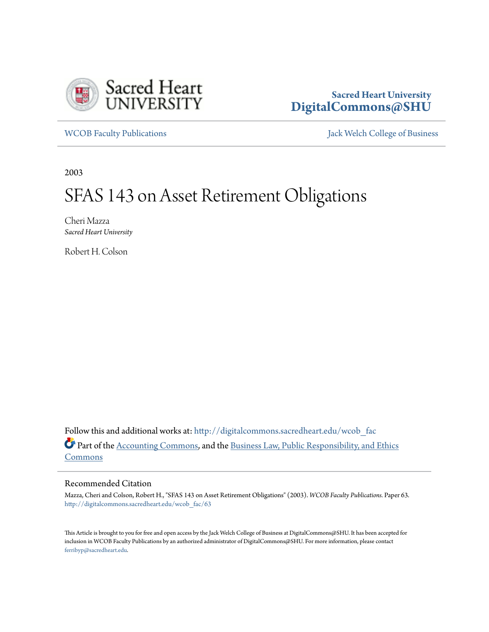

## **Sacred Heart University [DigitalCommons@SHU](http://digitalcommons.sacredheart.edu?utm_source=digitalcommons.sacredheart.edu%2Fwcob_fac%2F63&utm_medium=PDF&utm_campaign=PDFCoverPages)**

[WCOB Faculty Publications](http://digitalcommons.sacredheart.edu/wcob_fac?utm_source=digitalcommons.sacredheart.edu%2Fwcob_fac%2F63&utm_medium=PDF&utm_campaign=PDFCoverPages) **MECOB** Faculty Publications **Accord Publications** [Jack Welch College of Business](http://digitalcommons.sacredheart.edu/wcob?utm_source=digitalcommons.sacredheart.edu%2Fwcob_fac%2F63&utm_medium=PDF&utm_campaign=PDFCoverPages)

2003

# SFAS 143 on Asset Retirement Obligations

Cheri Mazza *Sacred Heart University*

Robert H. Colson

Follow this and additional works at: [http://digitalcommons.sacredheart.edu/wcob\\_fac](http://digitalcommons.sacredheart.edu/wcob_fac?utm_source=digitalcommons.sacredheart.edu%2Fwcob_fac%2F63&utm_medium=PDF&utm_campaign=PDFCoverPages) Part of the [Accounting Commons](http://network.bepress.com/hgg/discipline/625?utm_source=digitalcommons.sacredheart.edu%2Fwcob_fac%2F63&utm_medium=PDF&utm_campaign=PDFCoverPages), and the [Business Law, Public Responsibility, and Ethics](http://network.bepress.com/hgg/discipline/628?utm_source=digitalcommons.sacredheart.edu%2Fwcob_fac%2F63&utm_medium=PDF&utm_campaign=PDFCoverPages) [Commons](http://network.bepress.com/hgg/discipline/628?utm_source=digitalcommons.sacredheart.edu%2Fwcob_fac%2F63&utm_medium=PDF&utm_campaign=PDFCoverPages)

### Recommended Citation

Mazza, Cheri and Colson, Robert H., "SFAS 143 on Asset Retirement Obligations" (2003). *WCOB Faculty Publications.* Paper 63. [http://digitalcommons.sacredheart.edu/wcob\\_fac/63](http://digitalcommons.sacredheart.edu/wcob_fac/63?utm_source=digitalcommons.sacredheart.edu%2Fwcob_fac%2F63&utm_medium=PDF&utm_campaign=PDFCoverPages)

This Article is brought to you for free and open access by the Jack Welch College of Business at DigitalCommons@SHU. It has been accepted for inclusion in WCOB Faculty Publications by an authorized administrator of DigitalCommons@SHU. For more information, please contact [ferribyp@sacredheart.edu](mailto:ferribyp@sacredheart.edu).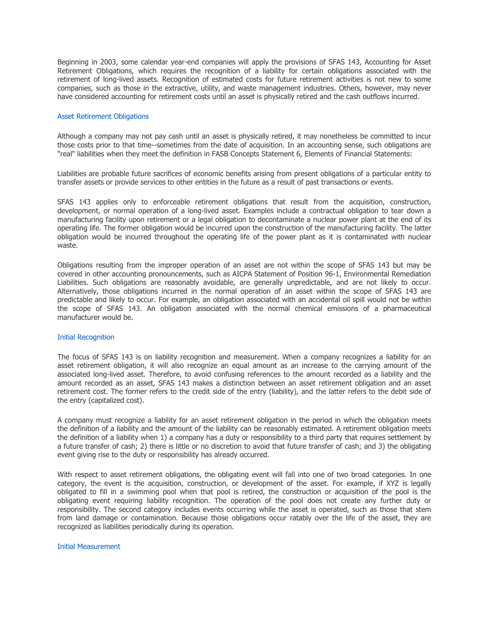Beginning in 2003, some calendar year-end companies will apply the provisions of SFAS 143, Accounting for Asset Retirement Obligations, which requires the recognition of a liability for certain obligations associated with the retirement of long-lived assets. Recognition of estimated costs for future retirement activities is not new to some companies, such as those in the extractive, utility, and waste management industries. Others, however, may never have considered accounting for retirement costs until an asset is physically retired and the cash outflows incurred.

#### Asset Retirement Obligations

Although a company may not pay cash until an asset is physically retired, it may nonetheless be committed to incur those costs prior to that time--sometimes from the date of acquisition. In an accounting sense, such obligations are "real" liabilities when they meet the definition in FASB Concepts Statement 6, Elements of Financial Statements:

Liabilities are probable future sacrifices of economic benefits arising from present obligations of a particular entity to transfer assets or provide services to other entities in the future as a result of past transactions or events.

SFAS 143 applies only to enforceable retirement obligations that result from the acquisition, construction, development, or normal operation of a long-lived asset. Examples include a contractual obligation to tear down a manufacturing facility upon retirement or a legal obligation to decontaminate a nuclear power plant at the end of its operating life. The former obligation would be incurred upon the construction of the manufacturing facility. The latter obligation would be incurred throughout the operating life of the power plant as it is contaminated with nuclear waste.

Obligations resulting from the improper operation of an asset are not within the scope of SFAS 143 but may be covered in other accounting pronouncements, such as AICPA Statement of Position 96-1, Environmental Remediation Liabilities. Such obligations are reasonably avoidable, are generally unpredictable, and are not likely to occur. Alternatively, those obligations incurred in the normal operation of an asset within the scope of SFAS 143 are predictable and likely to occur. For example, an obligation associated with an accidental oil spill would not be within the scope of SFAS 143. An obligation associated with the normal chemical emissions of a pharmaceutical manufacturer would be.

#### Initial Recognition

The focus of SFAS 143 is on liability recognition and measurement. When a company recognizes a liability for an asset retirement obligation, it will also recognize an equal amount as an increase to the carrying amount of the associated long-lived asset. Therefore, to avoid confusing references to the amount recorded as a liability and the amount recorded as an asset, SFAS 143 makes a distinction between an asset retirement obligation and an asset retirement cost. The former refers to the credit side of the entry (liability), and the latter refers to the debit side of the entry (capitalized cost).

A company must recognize a liability for an asset retirement obligation in the period in which the obligation meets the definition of a liability and the amount of the liability can be reasonably estimated. A retirement obligation meets the definition of a liability when 1) a company has a duty or responsibility to a third party that requires settlement by a future transfer of cash; 2) there is little or no discretion to avoid that future transfer of cash; and 3) the obligating event giving rise to the duty or responsibility has already occurred.

With respect to asset retirement obligations, the obligating event will fall into one of two broad categories. In one category, the event is the acquisition, construction, or development of the asset. For example, if XYZ is legally obligated to fill in a swimming pool when that pool is retired, the construction or acquisition of the pool is the obligating event requiring liability recognition. The operation of the pool does not create any further duty or responsibility. The second category includes events occurring while the asset is operated, such as those that stem from land damage or contamination. Because those obligations occur ratably over the life of the asset, they are recognized as liabilities periodically during its operation.

Initial Measurement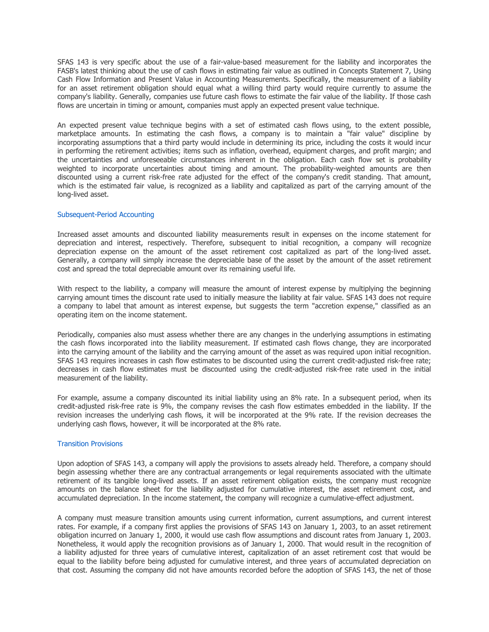SFAS 143 is very specific about the use of a fair-value-based measurement for the liability and incorporates the FASB's latest thinking about the use of cash flows in estimating fair value as outlined in Concepts Statement 7, Using Cash Flow Information and Present Value in Accounting Measurements. Specifically, the measurement of a liability for an asset retirement obligation should equal what a willing third party would require currently to assume the company's liability. Generally, companies use future cash flows to estimate the fair value of the liability. If those cash flows are uncertain in timing or amount, companies must apply an expected present value technique.

An expected present value technique begins with a set of estimated cash flows using, to the extent possible, marketplace amounts. In estimating the cash flows, a company is to maintain a "fair value" discipline by incorporating assumptions that a third party would include in determining its price, including the costs it would incur in performing the retirement activities; items such as inflation, overhead, equipment charges, and profit margin; and the uncertainties and unforeseeable circumstances inherent in the obligation. Each cash flow set is probability weighted to incorporate uncertainties about timing and amount. The probability-weighted amounts are then discounted using a current risk-free rate adjusted for the effect of the company's credit standing. That amount, which is the estimated fair value, is recognized as a liability and capitalized as part of the carrying amount of the long-lived asset.

#### Subsequent-Period Accounting

Increased asset amounts and discounted liability measurements result in expenses on the income statement for depreciation and interest, respectively. Therefore, subsequent to initial recognition, a company will recognize depreciation expense on the amount of the asset retirement cost capitalized as part of the long-lived asset. Generally, a company will simply increase the depreciable base of the asset by the amount of the asset retirement cost and spread the total depreciable amount over its remaining useful life.

With respect to the liability, a company will measure the amount of interest expense by multiplying the beginning carrying amount times the discount rate used to initially measure the liability at fair value. SFAS 143 does not require a company to label that amount as interest expense, but suggests the term "accretion expense," classified as an operating item on the income statement.

Periodically, companies also must assess whether there are any changes in the underlying assumptions in estimating the cash flows incorporated into the liability measurement. If estimated cash flows change, they are incorporated into the carrying amount of the liability and the carrying amount of the asset as was required upon initial recognition. SFAS 143 requires increases in cash flow estimates to be discounted using the current credit-adjusted risk-free rate; decreases in cash flow estimates must be discounted using the credit-adjusted risk-free rate used in the initial measurement of the liability.

For example, assume a company discounted its initial liability using an 8% rate. In a subsequent period, when its credit-adjusted risk-free rate is 9%, the company revises the cash flow estimates embedded in the liability. If the revision increases the underlying cash flows, it will be incorporated at the 9% rate. If the revision decreases the underlying cash flows, however, it will be incorporated at the 8% rate.

#### Transition Provisions

Upon adoption of SFAS 143, a company will apply the provisions to assets already held. Therefore, a company should begin assessing whether there are any contractual arrangements or legal requirements associated with the ultimate retirement of its tangible long-lived assets. If an asset retirement obligation exists, the company must recognize amounts on the balance sheet for the liability adjusted for cumulative interest, the asset retirement cost, and accumulated depreciation. In the income statement, the company will recognize a cumulative-effect adjustment.

A company must measure transition amounts using current information, current assumptions, and current interest rates. For example, if a company first applies the provisions of SFAS 143 on January 1, 2003, to an asset retirement obligation incurred on January 1, 2000, it would use cash flow assumptions and discount rates from January 1, 2003. Nonetheless, it would apply the recognition provisions as of January 1, 2000. That would result in the recognition of a liability adjusted for three years of cumulative interest, capitalization of an asset retirement cost that would be equal to the liability before being adjusted for cumulative interest, and three years of accumulated depreciation on that cost. Assuming the company did not have amounts recorded before the adoption of SFAS 143, the net of those